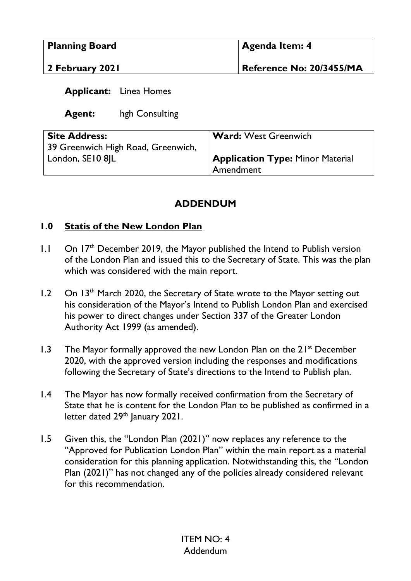| <b>Planning Board</b> | <b>Agenda Item: 4</b>           |
|-----------------------|---------------------------------|
| 2 February 2021       | <b>Reference No: 20/3455/MA</b> |

## **Applicant:** Linea Homes

**Agent:** hgh Consulting

| <b>Site Address:</b>               | <b>Ward: West Greenwich</b>             |
|------------------------------------|-----------------------------------------|
| 39 Greenwich High Road, Greenwich, |                                         |
| London, SE10 8IL                   | <b>Application Type: Minor Material</b> |
|                                    | Amendment                               |

## **ADDENDUM**

## **1.0 Statis of the New London Plan**

- 1.1 On 17<sup>th</sup> December 2019, the Mayor published the Intend to Publish version of the London Plan and issued this to the Secretary of State. This was the plan which was considered with the main report.
- 1.2 On 13<sup>th</sup> March 2020, the Secretary of State wrote to the Mayor setting out his consideration of the Mayor's Intend to Publish London Plan and exercised his power to direct changes under Section 337 of the Greater London Authority Act 1999 (as amended).
- 1.3 The Mayor formally approved the new London Plan on the  $21^{st}$  December 2020, with the approved version including the responses and modifications following the Secretary of State's directions to the Intend to Publish plan.
- 1.4 The Mayor has now formally received confirmation from the Secretary of State that he is content for the London Plan to be published as confirmed in a letter dated 29<sup>th</sup> January 2021.
- 1.5 Given this, the "London Plan (2021)" now replaces any reference to the "Approved for Publication London Plan" within the main report as a material consideration for this planning application. Notwithstanding this, the "London Plan (2021)" has not changed any of the policies already considered relevant for this recommendation.